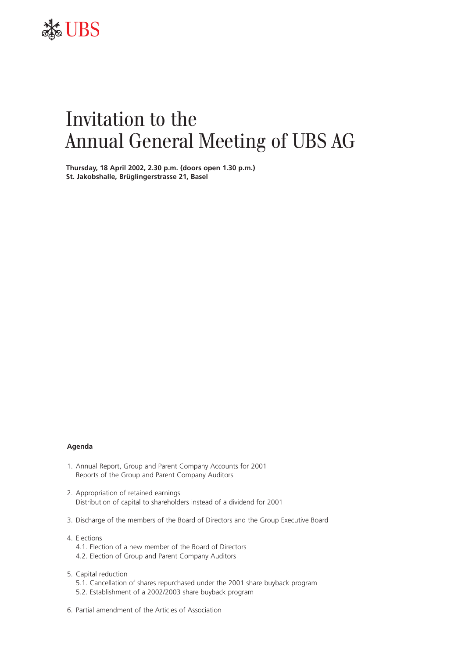

# Invitation to the Annual General Meeting of UBS AG

**Thursday, 18 April 2002, 2.30 p.m. (doors open 1.30 p.m.) St. Jakobshalle, Brüglingerstrasse 21, Basel**

# **Agenda**

- 1. Annual Report, Group and Parent Company Accounts for 2001 Reports of the Group and Parent Company Auditors
- 2. Appropriation of retained earnings Distribution of capital to shareholders instead of a dividend for 2001
- 3. Discharge of the members of the Board of Directors and the Group Executive Board
- 4. Elections
	- 4.1. Election of a new member of the Board of Directors
	- 4.2. Election of Group and Parent Company Auditors
- 5. Capital reduction
	- 5.1. Cancellation of shares repurchased under the 2001 share buyback program
	- 5.2. Establishment of a 2002/2003 share buyback program
- 6. Partial amendment of the Articles of Association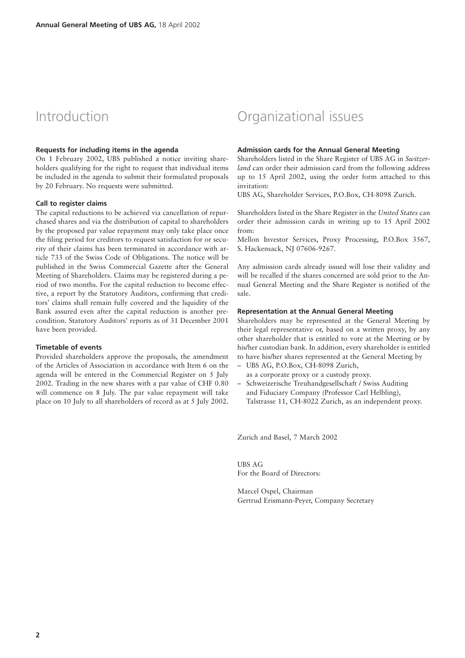# Introduction

#### **Requests for including items in the agenda**

On 1 February 2002, UBS published a notice inviting shareholders qualifying for the right to request that individual items be included in the agenda to submit their formulated proposals by 20 February. No requests were submitted.

#### **Call to register claims**

The capital reductions to be achieved via cancellation of repurchased shares and via the distribution of capital to shareholders by the proposed par value repayment may only take place once the filing period for creditors to request satisfaction for or security of their claims has been terminated in accordance with article 733 of the Swiss Code of Obligations. The notice will be published in the Swiss Commercial Gazette after the General Meeting of Shareholders. Claims may be registered during a period of two months. For the capital reduction to become effective, a report by the Statutory Auditors, confirming that creditors' claims shall remain fully covered and the liquidity of the Bank assured even after the capital reduction is another precondition. Statutory Auditors' reports as of 31 December 2001 have been provided.

#### **Timetable of events**

Provided shareholders approve the proposals, the amendment of the Articles of Association in accordance with Item 6 on the agenda will be entered in the Commercial Register on 5 July 2002. Trading in the new shares with a par value of CHF 0.80 will commence on 8 July. The par value repayment will take place on 10 July to all shareholders of record as at 5 July 2002.

# Organizational issues

# **Admission cards for the Annual General Meeting**

Shareholders listed in the Share Register of UBS AG in *Switzerland* can order their admission card from the following address up to 15 April 2002, using the order form attached to this invitation:

UBS AG, Shareholder Services, P.O.Box, CH-8098 Zurich.

Shareholders listed in the Share Register in the *United States* can order their admission cards in writing up to 15 April 2002 from:

Mellon Investor Services, Proxy Processing, P.O.Box 3567, S. Hackensack, NJ 07606-9267.

Any admission cards already issued will lose their validity and will be recalled if the shares concerned are sold prior to the Annual General Meeting and the Share Register is notified of the sale.

# **Representation at the Annual General Meeting**

Shareholders may be represented at the General Meeting by their legal representative or, based on a written proxy, by any other shareholder that is entitled to vote at the Meeting or by his/her custodian bank. In addition, every shareholder is entitled to have his/her shares represented at the General Meeting by

- UBS AG, P.O.Box, CH-8098 Zurich, as a corporate proxy or a custody proxy.
- Schweizerische Treuhandgesellschaft / Swiss Auditing and Fiduciary Company (Professor Carl Helbling), Talstrasse 11, CH-8022 Zurich, as an independent proxy.

Zurich and Basel, 7 March 2002

UBS AG For the Board of Directors:

Marcel Ospel, Chairman Gertrud Erismann-Peyer, Company Secretary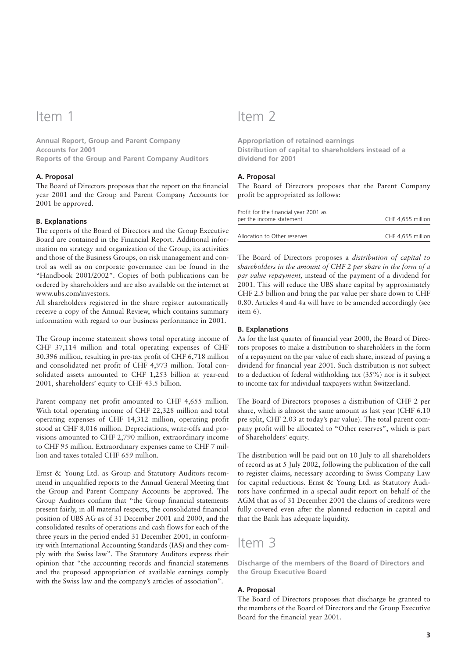# Item 1

**Annual Report, Group and Parent Company Accounts for 2001 Reports of the Group and Parent Company Auditors**

# **A. Proposal**

The Board of Directors proposes that the report on the financial year 2001 and the Group and Parent Company Accounts for 2001 be approved.

### **B. Explanations**

The reports of the Board of Directors and the Group Executive Board are contained in the Financial Report. Additional information on strategy and organization of the Group, its activities and those of the Business Groups, on risk management and control as well as on corporate governance can be found in the "Handbook 2001/2002". Copies of both publications can be ordered by shareholders and are also available on the internet at www.ubs.com/investors.

All shareholders registered in the share register automatically receive a copy of the Annual Review, which contains summary information with regard to our business performance in 2001.

The Group income statement shows total operating income of CHF 37,114 million and total operating expenses of CHF 30,396 million, resulting in pre-tax profit of CHF 6,718 million and consolidated net profit of CHF 4,973 million. Total consolidated assets amounted to CHF 1,253 billion at year-end 2001, shareholders' equity to CHF 43.5 billion.

Parent company net profit amounted to CHF 4,655 million. With total operating income of CHF 22,328 million and total operating expenses of CHF 14,312 million, operating profit stood at CHF 8,016 million. Depreciations, write-offs and provisions amounted to CHF 2,790 million, extraordinary income to CHF 95 million. Extraordinary expenses came to CHF 7 million and taxes totaled CHF 659 million.

Ernst & Young Ltd. as Group and Statutory Auditors recommend in unqualified reports to the Annual General Meeting that the Group and Parent Company Accounts be approved. The Group Auditors confirm that "the Group financial statements present fairly, in all material respects, the consolidated financial position of UBS AG as of 31 December 2001 and 2000, and the consolidated results of operations and cash flows for each of the three years in the period ended 31 December 2001, in conformity with International Accounting Standards (IAS) and they comply with the Swiss law". The Statutory Auditors express their opinion that "the accounting records and financial statements and the proposed appropriation of available earnings comply with the Swiss law and the company's articles of association".

# Item 2

**Appropriation of retained earnings Distribution of capital to shareholders instead of a dividend for 2001**

# **A. Proposal**

The Board of Directors proposes that the Parent Company profit be appropriated as follows:

| Profit for the financial year 2001 as<br>per the income statement | CHF 4.655 million |
|-------------------------------------------------------------------|-------------------|
| Allocation to Other reserves                                      | CHF 4.655 million |

The Board of Directors proposes a *distribution of capital to shareholders in the amount of CHF 2 per share in the form of a par value repayment,* instead of the payment of a dividend for 2001. This will reduce the UBS share capital by approximately CHF 2.5 billion and bring the par value per share down to CHF 0.80. Articles 4 and 4a will have to be amended accordingly (see item 6).

### **B. Explanations**

As for the last quarter of financial year 2000, the Board of Directors proposes to make a distribution to shareholders in the form of a repayment on the par value of each share, instead of paying a dividend for financial year 2001. Such distribution is not subject to a deduction of federal withholding tax (35%) nor is it subject to income tax for individual taxpayers within Switzerland.

The Board of Directors proposes a distribution of CHF 2 per share, which is almost the same amount as last year (CHF 6.10 pre split, CHF 2.03 at today's par value). The total parent company profit will be allocated to "Other reserves", which is part of Shareholders' equity.

The distribution will be paid out on 10 July to all shareholders of record as at 5 July 2002, following the publication of the call to register claims, necessary according to Swiss Company Law for capital reductions. Ernst & Young Ltd. as Statutory Auditors have confirmed in a special audit report on behalf of the AGM that as of 31 December 2001 the claims of creditors were fully covered even after the planned reduction in capital and that the Bank has adequate liquidity.

# Item 3

**Discharge of the members of the Board of Directors and the Group Executive Board**

# **A. Proposal**

The Board of Directors proposes that discharge be granted to the members of the Board of Directors and the Group Executive Board for the financial year 2001.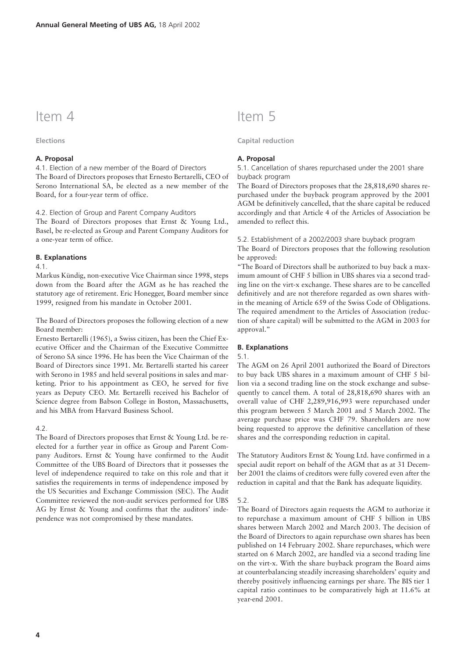# Item 4

**Elections**

# **A. Proposal**

4.1. Election of a new member of the Board of Directors The Board of Directors proposes that Ernesto Bertarelli, CEO of Serono International SA, be elected as a new member of the Board, for a four-year term of office.

4.2. Election of Group and Parent Company Auditors

The Board of Directors proposes that Ernst & Young Ltd., Basel, be re-elected as Group and Parent Company Auditors for a one-year term of office.

#### **B. Explanations**

4.1.

Markus Kündig, non-executive Vice Chairman since 1998, steps down from the Board after the AGM as he has reached the statutory age of retirement. Eric Honegger, Board member since 1999, resigned from his mandate in October 2001.

The Board of Directors proposes the following election of a new Board member:

Ernesto Bertarelli (1965), a Swiss citizen, has been the Chief Executive Officer and the Chairman of the Executive Committee of Serono SA since 1996. He has been the Vice Chairman of the Board of Directors since 1991. Mr. Bertarelli started his career with Serono in 1985 and held several positions in sales and marketing. Prior to his appointment as CEO, he served for five years as Deputy CEO. Mr. Bertarelli received his Bachelor of Science degree from Babson College in Boston, Massachusetts, and his MBA from Harvard Business School.

# 4.2

The Board of Directors proposes that Ernst & Young Ltd. be reelected for a further year in office as Group and Parent Company Auditors. Ernst & Young have confirmed to the Audit Committee of the UBS Board of Directors that it possesses the level of independence required to take on this role and that it satisfies the requirements in terms of independence imposed by the US Securities and Exchange Commission (SEC). The Audit Committee reviewed the non-audit services performed for UBS AG by Ernst & Young and confirms that the auditors' independence was not compromised by these mandates.

# Item 5

# **Capital reduction**

#### **A. Proposal**

5.1. Cancellation of shares repurchased under the 2001 share buyback program

The Board of Directors proposes that the 28,818,690 shares repurchased under the buyback program approved by the 2001 AGM be definitively cancelled, that the share capital be reduced accordingly and that Article 4 of the Articles of Association be amended to reflect this.

#### 5.2. Establishment of a 2002/2003 share buyback program

The Board of Directors proposes that the following resolution be approved:

"The Board of Directors shall be authorized to buy back a maximum amount of CHF 5 billion in UBS shares via a second trading line on the virt-x exchange. These shares are to be cancelled definitively and are not therefore regarded as own shares within the meaning of Article 659 of the Swiss Code of Obligations. The required amendment to the Articles of Association (reduction of share capital) will be submitted to the AGM in 2003 for approval."

#### **B. Explanations**

#### 5.1.

The AGM on 26 April 2001 authorized the Board of Directors to buy back UBS shares in a maximum amount of CHF 5 billion via a second trading line on the stock exchange and subsequently to cancel them. A total of 28,818,690 shares with an overall value of CHF 2,289,916,993 were repurchased under this program between 5 March 2001 and 5 March 2002. The average purchase price was CHF 79. Shareholders are now being requested to approve the definitive cancellation of these shares and the corresponding reduction in capital.

The Statutory Auditors Ernst & Young Ltd. have confirmed in a special audit report on behalf of the AGM that as at 31 December 2001 the claims of creditors were fully covered even after the reduction in capital and that the Bank has adequate liquidity.

#### 5.2.

The Board of Directors again requests the AGM to authorize it to repurchase a maximum amount of CHF 5 billion in UBS shares between March 2002 and March 2003. The decision of the Board of Directors to again repurchase own shares has been published on 14 February 2002. Share repurchases, which were started on 6 March 2002, are handled via a second trading line on the virt-x. With the share buyback program the Board aims at counterbalancing steadily increasing shareholders' equity and thereby positively influencing earnings per share. The BIS tier 1 capital ratio continues to be comparatively high at 11.6% at year-end 2001.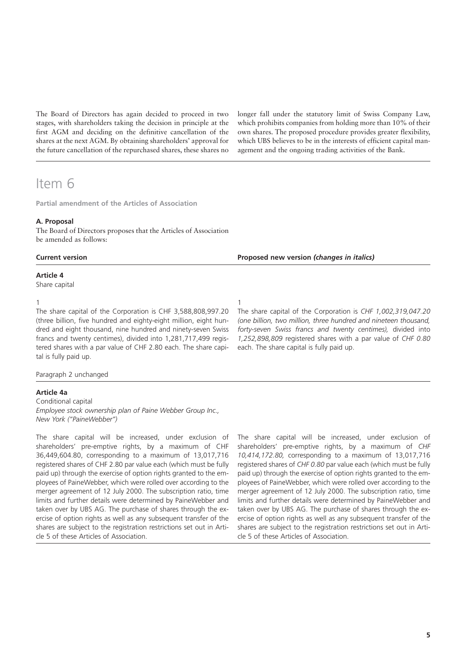The Board of Directors has again decided to proceed in two stages, with shareholders taking the decision in principle at the first AGM and deciding on the definitive cancellation of the shares at the next AGM. By obtaining shareholders' approval for the future cancellation of the repurchased shares, these shares no

Item 6

**Partial amendment of the Articles of Association**

# **A. Proposal**

The Board of Directors proposes that the Articles of Association be amended as follows:

| <b>Current version</b> |  |
|------------------------|--|
|                        |  |

# **Article 4**

Share capital

1

The share capital of the Corporation is CHF 3,588,808,997.20 (three billion, five hundred and eighty-eight million, eight hundred and eight thousand, nine hundred and ninety-seven Swiss francs and twenty centimes), divided into 1,281,717,499 registered shares with a par value of CHF 2.80 each. The share capital is fully paid up.

Paragraph 2 unchanged

### **Article 4a**

Conditional capital *Employee stock ownership plan of Paine Webber Group Inc., New York ("PaineWebber")*

The share capital will be increased, under exclusion of shareholders' pre-emptive rights, by a maximum of CHF 36,449,604.80, corresponding to a maximum of 13,017,716 registered shares of CHF 2.80 par value each (which must be fully paid up) through the exercise of option rights granted to the employees of PaineWebber, which were rolled over according to the merger agreement of 12 July 2000. The subscription ratio, time limits and further details were determined by PaineWebber and taken over by UBS AG. The purchase of shares through the exercise of option rights as well as any subsequent transfer of the shares are subject to the registration restrictions set out in Article 5 of these Articles of Association.

longer fall under the statutory limit of Swiss Company Law, which prohibits companies from holding more than 10% of their own shares. The proposed procedure provides greater flexibility, which UBS believes to be in the interests of efficient capital management and the ongoing trading activities of the Bank.

1

The share capital of the Corporation is *CHF 1,002,319,047.20 (one billion, two million, three hundred and nineteen thousand, forty-seven Swiss francs and twenty centimes),* divided into *1,252,898,809* registered shares with a par value of *CHF 0.80* each. The share capital is fully paid up.

**Proposed new version** *(changes in italics)*

The share capital will be increased, under exclusion of shareholders' pre-emptive rights, by a maximum of *CHF 10,414,172.80,* corresponding to a maximum of 13,017,716 registered shares of *CHF 0.80* par value each (which must be fully paid up) through the exercise of option rights granted to the employees of PaineWebber, which were rolled over according to the merger agreement of 12 July 2000. The subscription ratio, time limits and further details were determined by PaineWebber and taken over by UBS AG. The purchase of shares through the exercise of option rights as well as any subsequent transfer of the shares are subject to the registration restrictions set out in Article 5 of these Articles of Association.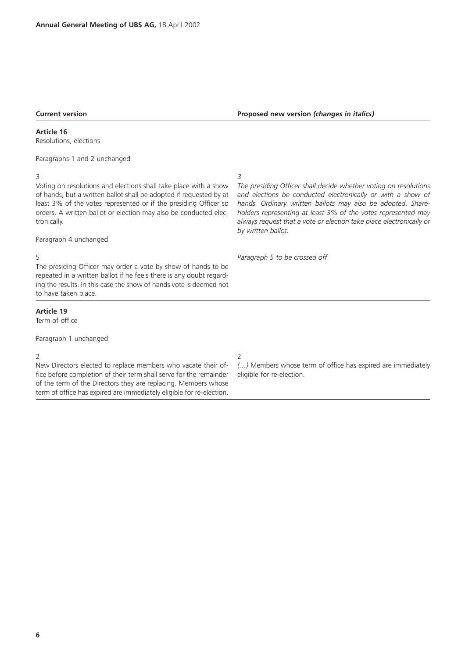# **Current version**

## **Article 16**

Resolutions, elections

Paragraphs 1 and 2 unchanged

# 3

Voting on resolutions and elections shall take place with a show of hands, but a written ballot shall be adopted if requested by at least 3% of the votes represented or if the presiding Officer so orders. A written ballot or election may also be conducted electronically.

#### Paragraph 4 unchanged

#### 5

The presiding Officer may order a vote by show of hands to be repeated in a written ballot if he feels there is any doubt regarding the results. In this case the show of hands vote is deemed not to have taken place.

# **Article 19**

Term of office

Paragraph 1 unchanged

# 2

New Directors elected to replace members who vacate their office before completion of their term shall serve for the remainder of the term of the Directors they are replacing. Members whose term of office has expired are immediately eligible for re-election. *3*

*The presiding Officer shall decide whether voting on resolutions and elections be conducted electronically or with a show of hands. Ordinary written ballots may also be adopted. Shareholders representing at least 3% of the votes represented may always request that a vote or election take place electronically or by written ballot.* 

*Paragraph 5 to be crossed off*

### 2

*(…)* Members whose term of office has expired are immediately eligible for re-election.

# **Proposed new version** *(changes in italics)*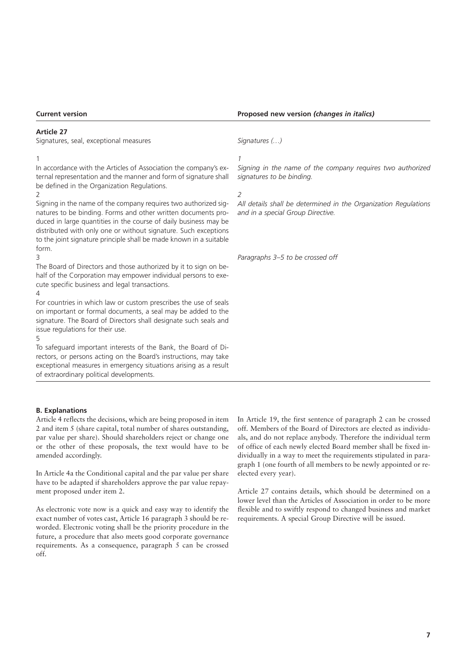# **Article 27**

Signatures, seal, exceptional measures

1

In accordance with the Articles of Association the company's external representation and the manner and form of signature shall be defined in the Organization Regulations.

 $\overline{\phantom{0}}$ 

Signing in the name of the company requires two authorized signatures to be binding. Forms and other written documents produced in large quantities in the course of daily business may be distributed with only one or without signature. Such exceptions to the joint signature principle shall be made known in a suitable form. 3

The Board of Directors and those authorized by it to sign on behalf of the Corporation may empower individual persons to execute specific business and legal transactions.

 $\Delta$ 

For countries in which law or custom prescribes the use of seals on important or formal documents, a seal may be added to the signature. The Board of Directors shall designate such seals and issue regulations for their use.

5

To safeguard important interests of the Bank, the Board of Directors, or persons acting on the Board's instructions, may take exceptional measures in emergency situations arising as a result of extraordinary political developments.

### **Proposed new version** *(changes in italics)*

*Signatures (…)*

*1*

*Signing in the name of the company requires two authorized signatures to be binding.*

*2*

*All details shall be determined in the Organization Regulations and in a special Group Directive.* 

*Paragraphs 3–5 to be crossed off* 

## **B. Explanations**

Article 4 reflects the decisions, which are being proposed in item 2 and item 5 (share capital, total number of shares outstanding, par value per share). Should shareholders reject or change one or the other of these proposals, the text would have to be amended accordingly.

In Article 4a the Conditional capital and the par value per share have to be adapted if shareholders approve the par value repayment proposed under item 2.

As electronic vote now is a quick and easy way to identify the exact number of votes cast, Article 16 paragraph 3 should be reworded. Electronic voting shall be the priority procedure in the future, a procedure that also meets good corporate governance requirements. As a consequence, paragraph 5 can be crossed off.

In Article 19, the first sentence of paragraph 2 can be crossed off. Members of the Board of Directors are elected as individuals, and do not replace anybody. Therefore the individual term of office of each newly elected Board member shall be fixed individually in a way to meet the requirements stipulated in paragraph 1 (one fourth of all members to be newly appointed or reelected every year).

Article 27 contains details, which should be determined on a lower level than the Articles of Association in order to be more flexible and to swiftly respond to changed business and market requirements. A special Group Directive will be issued.